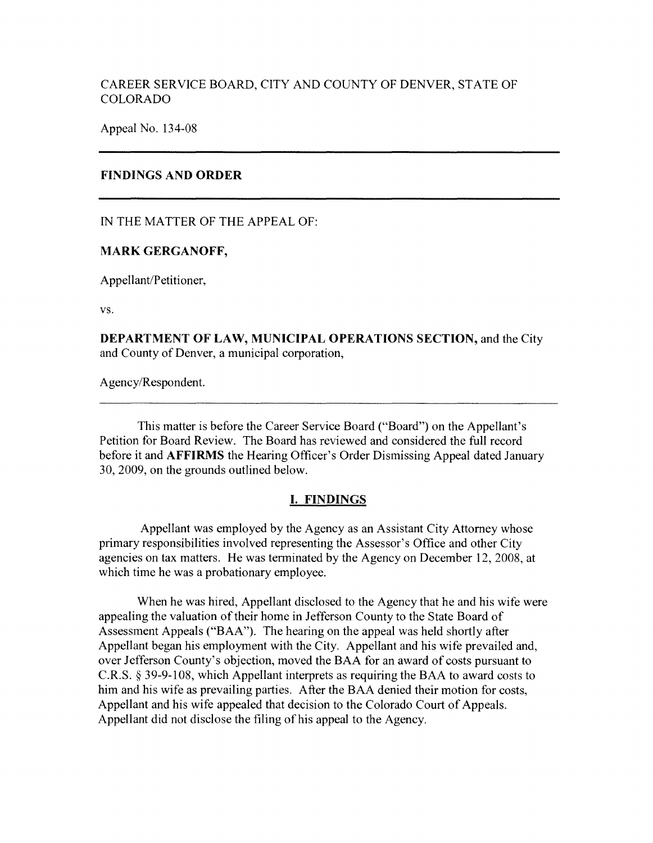# CAREER SERVICE BOARD, CITY AND COUNTY OF DENVER, STATE OF COLORADO

Appeal No. 134-08

## **FINDINGS AND ORDER**

IN THE MATTER OF THE APPEAL OF:

## **MARK GERGANOFF,**

Appellant/Petitioner,

vs.

**DEPARTMENT OF LAW, MUNICIPAL OPERATIONS SECTION,** and the City and County of Denver, a municipal corporation,

Agency/Respondent.

This matter is before the Career Service Board ("Board") on the Appellant's Petition for Board Review. The Board has reviewed and considered the full record before it and **AFFIRMS** the Hearing Officer's Order Dismissing Appeal dated January 30, 2009, on the grounds outlined below.

# **I. FINDINGS**

Appellant was employed by the Agency as an Assistant City Attorney whose primary responsibilities involved representing the Assessor's Office and other City agencies on tax matters. He was terminated by the Agency on December 12, 2008, at which time he was a probationary employee.

When he was hired, Appellant disclosed to the Agency that he and his wife were appealing the valuation of their home in Jefferson County to the State Board of Assessment Appeals ("BAA"). The hearing on the appeal was held shortly after Appellant began his employment with the City. Appellant and his wife prevailed and, over Jefferson County's objection, moved the BAA for an award of costs pursuant to C.R.S. § 39-9-108, which Appellant interprets as requiring the BAA to award costs to him and his wife as prevailing parties. After the BAA denied their motion for costs, Appellant and his wife appealed that decision to the Colorado Court of Appeals. Appellant did not disclose the filing of his appeal to the Agency.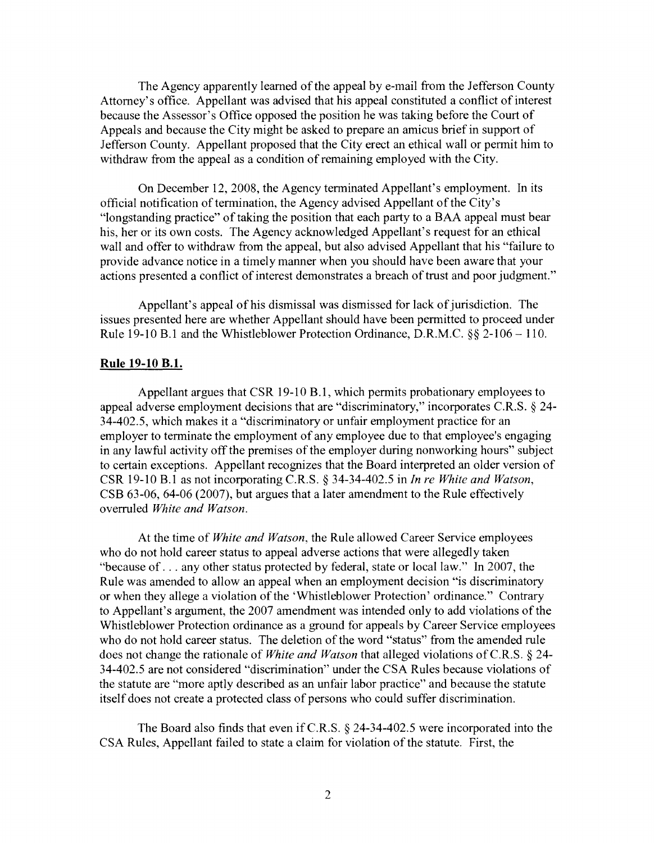The Agency apparently learned of the appeal by e-mail from the Jefferson County Attorney's office. Appellant was advised that his appeal constituted a conflict of interest because the Assessor's Office opposed the position he was taking before the Court of Appeals and because the City might be asked to prepare an amicus brief in support of Jefferson County. Appellant proposed that the City erect an ethical wall or permit him to withdraw from the appeal as a condition of remaining employed with the City.

On December 12, 2008, the Agency terminated Appellant's employment. In its official notification of termination, the Agency advised Appellant of the City's "longstanding practice" of taking the position that each party to a BAA appeal must bear his, her or its own costs. The Agency acknowledged Appellant's request for an ethical wall and offer to withdraw from the appeal, but also advised Appellant that his "failure to provide advance notice in a timely manner when you should have been aware that your actions presented a conflict of interest demonstrates a breach of trust and poor judgment."

Appellant's appeal of his dismissal was dismissed for lack of jurisdiction. The issues presented here are whether Appellant should have been permitted to proceed under Rule 19-10 B.1 and the Whistleblower Protection Ordinance, D.R.M.C. §§ 2-106 - 110.

### **Rule 19-10 B.1.**

Appellant argues that CSR 19-10 B.1, which permits probationary employees to appeal adverse employment decisions that are "discriminatory," incorporates C.R.S. § 24- 34-402.5, which makes it a "discriminatory or unfair employment practice for an employer to terminate the employment of any employee due to that employee's engaging in any lawful activity off the premises of the employer during nonworking hours" subject to certain exceptions. Appellant recognizes that the Board interpreted an older version of CSR 19-10 B.1 as not incorporating C.R.S. § 34-34-402.5 in *In re White and Watson,*  CSB 63-06, 64-06 (2007), but argues that a later amendment to the Rule effectively overruled *White and Watson.* 

At the time of *White and Watson,* the Rule allowed Career Service employees who do not hold career status to appeal adverse actions that were allegedly taken "because of ... any other status protected by federal, state or local law." In 2007, the Rule was amended to allow an appeal when an employment decision "is discriminatory or when they allege a violation of the 'Whistleblower Protection' ordinance." Contrary to Appellant's argument, the 2007 amendment was intended only to add violations of the Whistleblower Protection ordinance as a ground for appeals by Career Service employees who do not hold career status. The deletion of the word "status" from the amended rule does not change the rationale of *White and Watson* that alleged violations of C.R.S. § 24- 34-402.5 are not considered "discrimination" under the CSA Rules because violations of the statute are "more aptly described as an unfair labor practice" and because the statute itself does not create a protected class of persons who could suffer discrimination.

The Board also finds that even if C.R.S. § 24-34-402.5 were incorporated into the CSA Rules, Appellant failed to state a claim for violation of the statute. First, the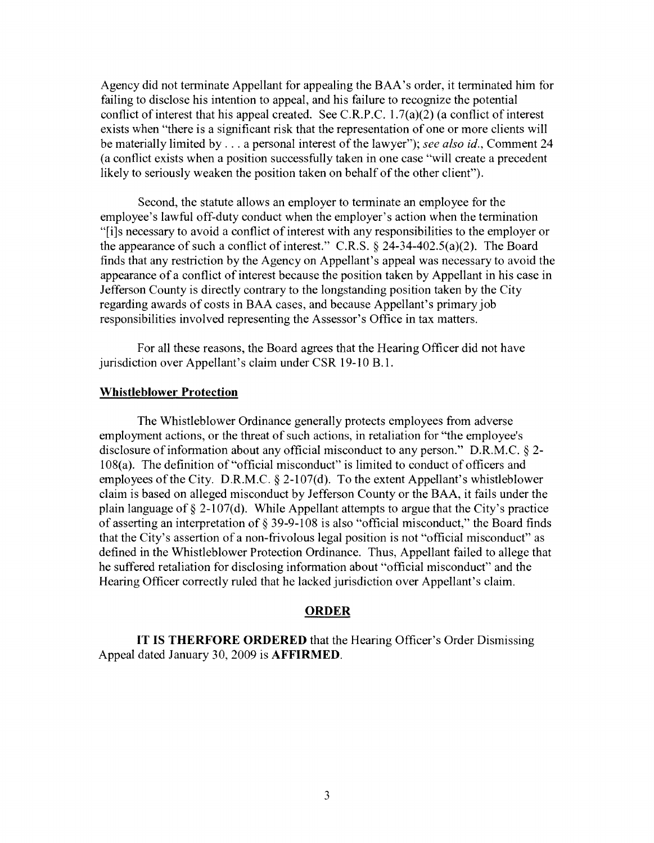Agency did not terminate Appellant for appealing the BAA's order, it terminated him for failing to disclose his intention to appeal, and his failure to recognize the potential conflict of interest that his appeal created. See C.R.P.C.  $1.7(a)(2)$  (a conflict of interest exists when "there is a significant risk that the representation of one or more clients will be materially limited by ... a personal interest of the lawyer"); *see also id.,* Comment 24 (a conflict exists when a position successfully taken in one case "will create a precedent likely to seriously weaken the position taken on behalf of the other client").

Second, the statute allows an employer to terminate an employee for the employee's lawful off-duty conduct when the employer's action when the termination "[i]s necessary to avoid a conflict of interest with any responsibilities to the employer or the appearance of such a conflict of interest." C.R.S. § 24-34-402.5(a)(2). The Board finds that any restriction by the Agency on Appellant's appeal was necessary to avoid the appearance of a conflict of interest because the position taken by Appellant in his case in Jefferson County is directly contrary to the longstanding position taken by the City regarding awards of costs in BAA cases, and because Appellant's primary job responsibilities involved representing the Assessor's Office in tax matters.

For all these reasons, the Board agrees that the Hearing Officer did not have jurisdiction over Appellant's claim under CSR 19-10 B.1.

### **Whistleblower Protection**

The Whistleblower Ordinance generally protects employees from adverse employment actions, or the threat of such actions, in retaliation for "the employee's disclosure of information about any official misconduct to any person." D.R.M.C. § 2- 108(a). The definition of "official misconduct" is limited to conduct of officers and employees of the City. D.R.M.C. § 2-107(d). To the extent Appellant's whistleblower claim is based on alleged misconduct by Jefferson County or the BAA, it fails under the plain language of  $\S 2-107(d)$ . While Appellant attempts to argue that the City's practice of asserting an interpretation of§ 39-9-108 is also "official misconduct," the Board finds that the City's assertion of a non-frivolous legal position is not "official misconduct" as defined in the Whistleblower Protection Ordinance. Thus, Appellant failed to allege that he suffered retaliation for disclosing information about "official misconduct" and the Hearing Officer correctly ruled that he lacked jurisdiction over Appellant's claim.

### **ORDER**

**IT IS THERFORE ORDERED** that the Hearing Officer's Order Dismissing Appeal dated January 30, 2009 is **AFFIRMED.**